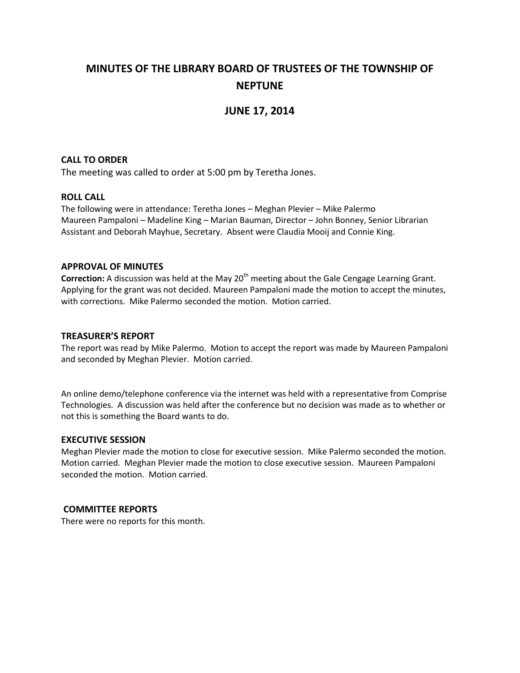# **MINUTES OF THE LIBRARY BOARD OF TRUSTEES OF THE TOWNSHIP OF NEPTUNE**

# **JUNE 17, 2014**

# **CALL TO ORDER**

The meeting was called to order at 5:00 pm by Teretha Jones.

# **ROLL CALL**

The following were in attendance: Teretha Jones – Meghan Plevier – Mike Palermo Maureen Pampaloni – Madeline King – Marian Bauman, Director – John Bonney, Senior Librarian Assistant and Deborah Mayhue, Secretary. Absent were Claudia Mooij and Connie King.

# **APPROVAL OF MINUTES**

**Correction:** A discussion was held at the May 20<sup>th</sup> meeting about the Gale Cengage Learning Grant. Applying for the grant was not decided. Maureen Pampaloni made the motion to accept the minutes, with corrections. Mike Palermo seconded the motion. Motion carried.

#### **TREASURER'S REPORT**

The report was read by Mike Palermo. Motion to accept the report was made by Maureen Pampaloni and seconded by Meghan Plevier. Motion carried.

An online demo/telephone conference via the internet was held with a representative from Comprise Technologies. A discussion was held after the conference but no decision was made as to whether or not this is something the Board wants to do.

# **EXECUTIVE SESSION**

Meghan Plevier made the motion to close for executive session. Mike Palermo seconded the motion. Motion carried. Meghan Plevier made the motion to close executive session. Maureen Pampaloni seconded the motion. Motion carried.

# **COMMITTEE REPORTS**

There were no reports for this month.